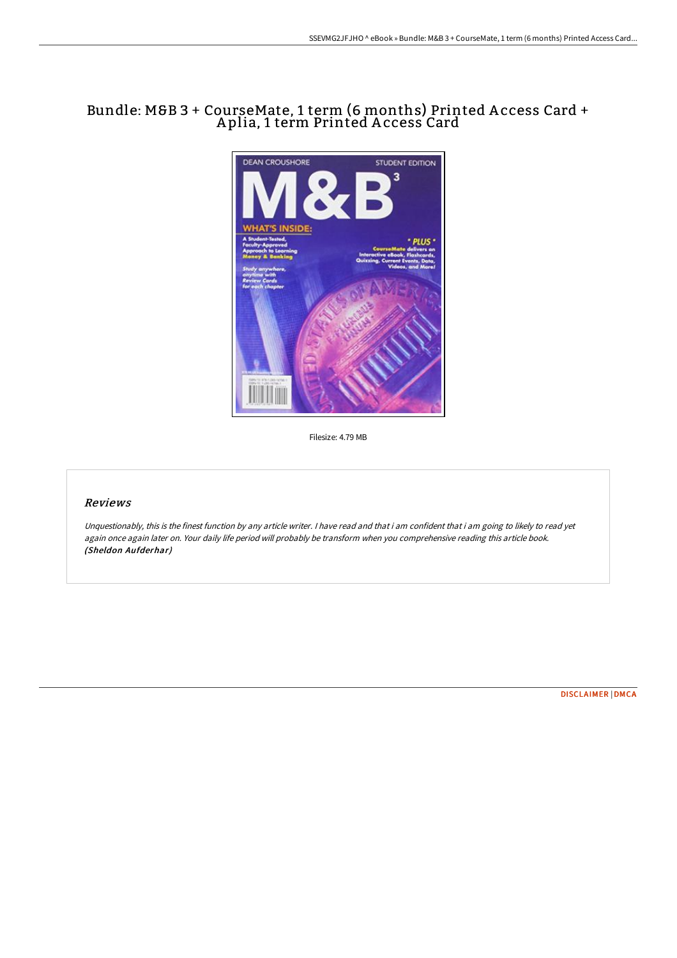# Bundle: M&B 3 + CourseMate, 1 term (6 months) Printed A ccess Card + A plia, 1 term Printed A ccess Card



Filesize: 4.79 MB

## Reviews

Unquestionably, this is the finest function by any article writer. <sup>I</sup> have read and that i am confident that i am going to likely to read yet again once again later on. Your daily life period will probably be transform when you comprehensive reading this article book. (Sheldon Aufderhar)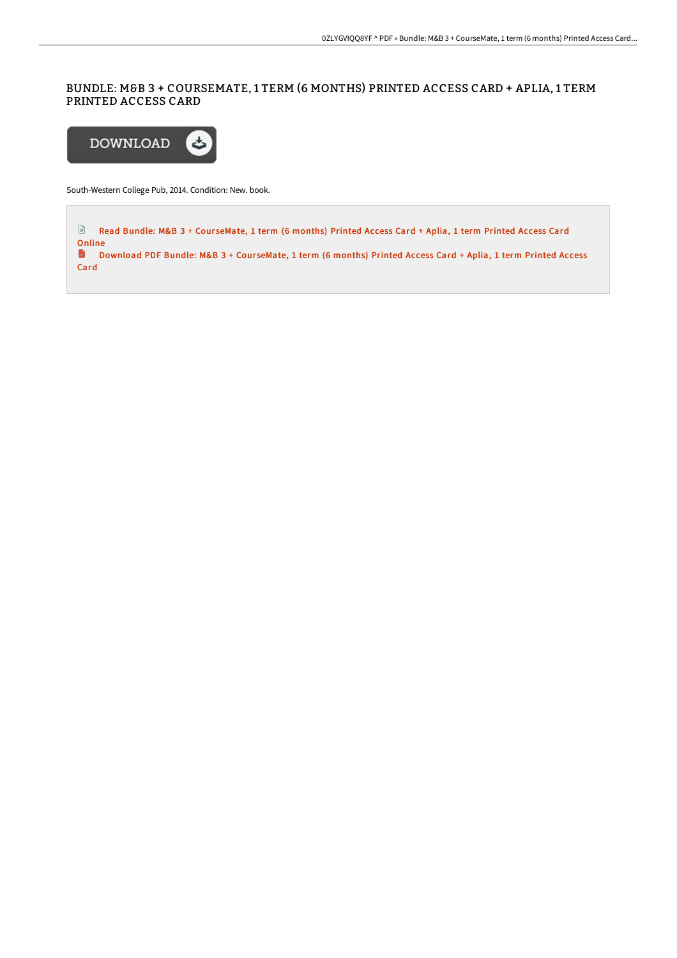# BUNDLE: M&B 3 + COURSEMATE, 1 TERM (6 MONTHS) PRINTED ACCESS CARD + APLIA, 1 TERM PRINTED ACCESS CARD



South-Western College Pub, 2014. Condition: New. book.

E Read Bundle: M&B 3 + CourseMate, 1 term (6 [months\)](http://albedo.media/bundle-m-amp-b-3-coursemate-1-term-6-months-prin.html) Printed Access Card + Aplia, 1 term Printed Access Card Online D [Download](http://albedo.media/bundle-m-amp-b-3-coursemate-1-term-6-months-prin.html) PDF Bundle: M&B 3 + CourseMate, 1 term (6 months) Printed Access Card + Aplia, 1 term Printed Access Card